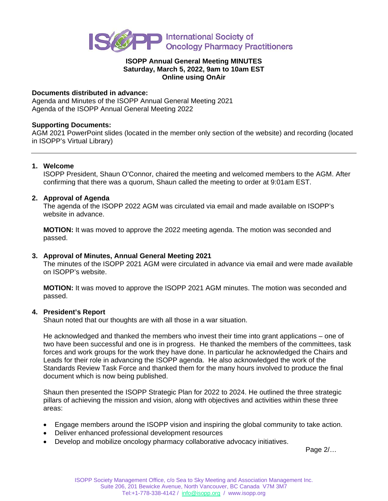

### **ISOPP Annual General Meeting MINUTES Saturday, March 5, 2022, 9am to 10am EST Online using OnAir**

## **Documents distributed in advance:**

Agenda and Minutes of the ISOPP Annual General Meeting 2021 Agenda of the ISOPP Annual General Meeting 2022

## **Supporting Documents:**

AGM 2021 PowerPoint slides (located in the member only section of the website) and recording (located in ISOPP's Virtual Library)

## **1. Welcome**

ISOPP President, Shaun O'Connor, chaired the meeting and welcomed members to the AGM. After confirming that there was a quorum, Shaun called the meeting to order at 9:01am EST.

## **2. Approval of Agenda**

The agenda of the ISOPP 2022 AGM was circulated via email and made available on ISOPP's website in advance.

**MOTION:** It was moved to approve the 2022 meeting agenda. The motion was seconded and passed.

## **3. Approval of Minutes, Annual General Meeting 2021**

The minutes of the ISOPP 2021 AGM were circulated in advance via email and were made available on ISOPP's website.

**MOTION:** It was moved to approve the ISOPP 2021 AGM minutes. The motion was seconded and passed.

#### **4. President's Report**

Shaun noted that our thoughts are with all those in a war situation.

He acknowledged and thanked the members who invest their time into grant applications – one of two have been successful and one is in progress. He thanked the members of the committees, task forces and work groups for the work they have done. In particular he acknowledged the Chairs and Leads for their role in advancing the ISOPP agenda. He also acknowledged the work of the Standards Review Task Force and thanked them for the many hours involved to produce the final document which is now being published.

Shaun then presented the ISOPP Strategic Plan for 2022 to 2024. He outlined the three strategic pillars of achieving the mission and vision, along with objectives and activities within these three areas:

- Engage members around the ISOPP vision and inspiring the global community to take action.
- Deliver enhanced professional development resources
- Develop and mobilize oncology pharmacy collaborative advocacy initiatives.

Page 2/…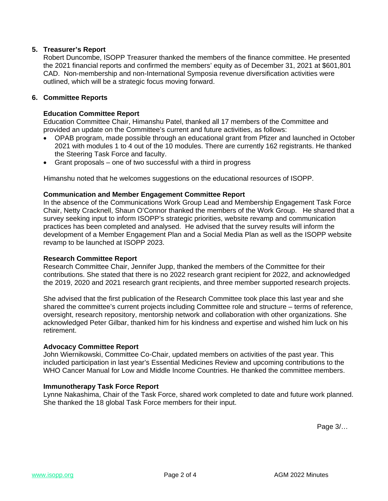## **5. Treasurer's Report**

Robert Duncombe, ISOPP Treasurer thanked the members of the finance committee. He presented the 2021 financial reports and confirmed the members' equity as of December 31, 2021 at \$601,801 CAD. Non-membership and non-International Symposia revenue diversification activities were outlined, which will be a strategic focus moving forward.

## **6. Committee Reports**

#### **Education Committee Report**

Education Committee Chair, Himanshu Patel, thanked all 17 members of the Committee and provided an update on the Committee's current and future activities, as follows:

- OPAB program, made possible through an educational grant from Pfizer and launched in October 2021 with modules 1 to 4 out of the 10 modules. There are currently 162 registrants. He thanked the Steering Task Force and faculty.
- Grant proposals one of two successful with a third in progress

Himanshu noted that he welcomes suggestions on the educational resources of ISOPP.

#### **Communication and Member Engagement Committee Report**

In the absence of the Communications Work Group Lead and Membership Engagement Task Force Chair, Netty Cracknell, Shaun O'Connor thanked the members of the Work Group. He shared that a survey seeking input to inform ISOPP's strategic priorities, website revamp and communication practices has been completed and analysed. He advised that the survey results will inform the development of a Member Engagement Plan and a Social Media Plan as well as the ISOPP website revamp to be launched at ISOPP 2023.

#### **Research Committee Report**

Research Committee Chair, Jennifer Jupp, thanked the members of the Committee for their contributions. She stated that there is no 2022 research grant recipient for 2022, and acknowledged the 2019, 2020 and 2021 research grant recipients, and three member supported research projects.

She advised that the first publication of the Research Committee took place this last year and she shared the committee's current projects including Committee role and structure – terms of reference, oversight, research repository, mentorship network and collaboration with other organizations. She acknowledged Peter Gilbar, thanked him for his kindness and expertise and wished him luck on his retirement.

#### **Advocacy Committee Report**

John Wiernikowski, Committee Co-Chair, updated members on activities of the past year. This included participation in last year's Essential Medicines Review and upcoming contributions to the WHO Cancer Manual for Low and Middle Income Countries. He thanked the committee members.

#### **Immunotherapy Task Force Report**

Lynne Nakashima, Chair of the Task Force, shared work completed to date and future work planned. She thanked the 18 global Task Force members for their input.

Page 3/…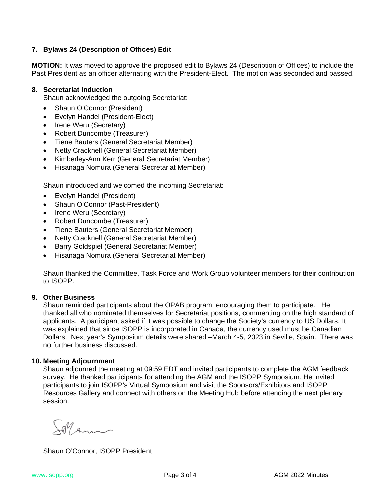# **7. Bylaws 24 (Description of Offices) Edit**

**MOTION:** It was moved to approve the proposed edit to Bylaws 24 (Description of Offices) to include the Past President as an officer alternating with the President-Elect. The motion was seconded and passed.

## **8. Secretariat Induction**

Shaun acknowledged the outgoing Secretariat:

- Shaun O'Connor (President)
- Evelyn Handel (President-Elect)
- Irene Weru (Secretary)
- Robert Duncombe (Treasurer)
- Tiene Bauters (General Secretariat Member)
- Netty Cracknell (General Secretariat Member)
- Kimberley-Ann Kerr (General Secretariat Member)
- Hisanaga Nomura (General Secretariat Member)

Shaun introduced and welcomed the incoming Secretariat:

- Evelyn Handel (President)
- Shaun O'Connor (Past-President)
- Irene Weru (Secretary)
- Robert Duncombe (Treasurer)
- Tiene Bauters (General Secretariat Member)
- Netty Cracknell (General Secretariat Member)
- Barry Goldspiel (General Secretariat Member)
- Hisanaga Nomura (General Secretariat Member)

Shaun thanked the Committee, Task Force and Work Group volunteer members for their contribution to ISOPP.

### **9. Other Business**

Shaun reminded participants about the OPAB program, encouraging them to participate. He thanked all who nominated themselves for Secretariat positions, commenting on the high standard of applicants. A participant asked if it was possible to change the Society's currency to US Dollars. It was explained that since ISOPP is incorporated in Canada, the currency used must be Canadian Dollars. Next year's Symposium details were shared –March 4-5, 2023 in Seville, Spain. There was no further business discussed.

#### **10. Meeting Adjournment**

Shaun adjourned the meeting at 09:59 EDT and invited participants to complete the AGM feedback survey. He thanked participants for attending the AGM and the ISOPP Symposium. He invited participants to join ISOPP's Virtual Symposium and visit the Sponsors/Exhibitors and ISOPP Resources Gallery and connect with others on the Meeting Hub before attending the next plenary session.

A Ann

Shaun O'Connor, ISOPP President